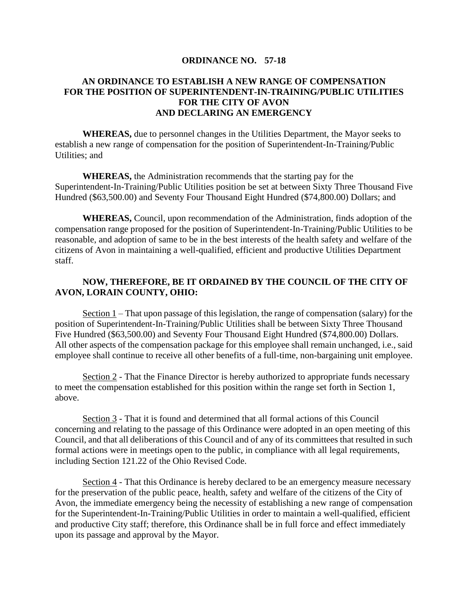## **ORDINANCE NO. 57-18**

## **AN ORDINANCE TO ESTABLISH A NEW RANGE OF COMPENSATION FOR THE POSITION OF SUPERINTENDENT-IN-TRAINING/PUBLIC UTILITIES FOR THE CITY OF AVON AND DECLARING AN EMERGENCY**

**WHEREAS,** due to personnel changes in the Utilities Department, the Mayor seeks to establish a new range of compensation for the position of Superintendent-In-Training/Public Utilities; and

**WHEREAS,** the Administration recommends that the starting pay for the Superintendent-In-Training/Public Utilities position be set at between Sixty Three Thousand Five Hundred (\$63,500.00) and Seventy Four Thousand Eight Hundred (\$74,800.00) Dollars; and

**WHEREAS,** Council, upon recommendation of the Administration, finds adoption of the compensation range proposed for the position of Superintendent-In-Training/Public Utilities to be reasonable, and adoption of same to be in the best interests of the health safety and welfare of the citizens of Avon in maintaining a well-qualified, efficient and productive Utilities Department staff.

## **NOW, THEREFORE, BE IT ORDAINED BY THE COUNCIL OF THE CITY OF AVON, LORAIN COUNTY, OHIO:**

Section 1 – That upon passage of this legislation, the range of compensation (salary) for the position of Superintendent-In-Training/Public Utilities shall be between Sixty Three Thousand Five Hundred (\$63,500.00) and Seventy Four Thousand Eight Hundred (\$74,800.00) Dollars. All other aspects of the compensation package for this employee shall remain unchanged, i.e., said employee shall continue to receive all other benefits of a full-time, non-bargaining unit employee.

Section 2 - That the Finance Director is hereby authorized to appropriate funds necessary to meet the compensation established for this position within the range set forth in Section 1, above.

Section 3 - That it is found and determined that all formal actions of this Council concerning and relating to the passage of this Ordinance were adopted in an open meeting of this Council, and that all deliberations of this Council and of any of its committees that resulted in such formal actions were in meetings open to the public, in compliance with all legal requirements, including Section 121.22 of the Ohio Revised Code.

Section 4 - That this Ordinance is hereby declared to be an emergency measure necessary for the preservation of the public peace, health, safety and welfare of the citizens of the City of Avon, the immediate emergency being the necessity of establishing a new range of compensation for the Superintendent-In-Training/Public Utilities in order to maintain a well-qualified, efficient and productive City staff; therefore, this Ordinance shall be in full force and effect immediately upon its passage and approval by the Mayor.